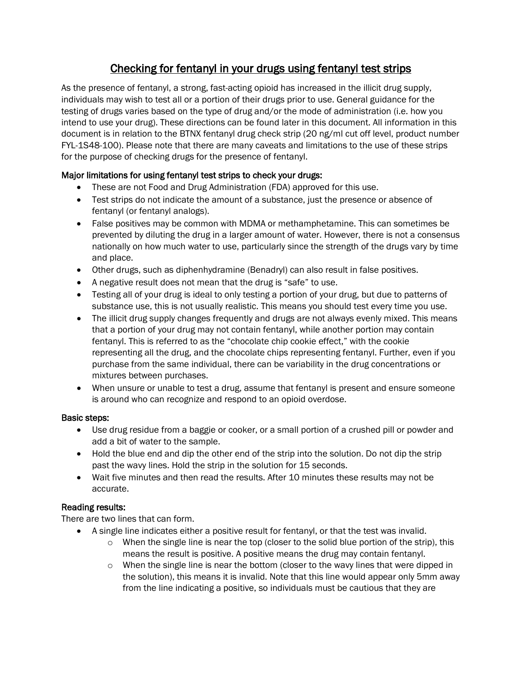# Checking for fentanyl in your drugs using fentanyl test strips

As the presence of fentanyl, a strong, fast-acting opioid has increased in the illicit drug supply, individuals may wish to test all or a portion of their drugs prior to use. General guidance for the testing of drugs varies based on the type of drug and/or the mode of administration (i.e. how you intend to use your drug). These directions can be found later in this document. All information in this document is in relation to the BTNX fentanyl drug check strip (20 ng/ml cut off level, product number FYL-1S48-100). Please note that there are many caveats and limitations to the use of these strips for the purpose of checking drugs for the presence of fentanyl.

## Major limitations for using fentanyl test strips to check your drugs:

- These are not Food and Drug Administration (FDA) approved for this use.
- Test strips do not indicate the amount of a substance, just the presence or absence of fentanyl (or fentanyl analogs).
- False positives may be common with MDMA or methamphetamine. This can sometimes be prevented by diluting the drug in a larger amount of water. However, there is not a consensus nationally on how much water to use, particularly since the strength of the drugs vary by time and place.
- Other drugs, such as diphenhydramine (Benadryl) can also result in false positives.
- A negative result does not mean that the drug is "safe" to use.
- Testing all of your drug is ideal to only testing a portion of your drug, but due to patterns of substance use, this is not usually realistic. This means you should test every time you use.
- The illicit drug supply changes frequently and drugs are not always evenly mixed. This means that a portion of your drug may not contain fentanyl, while another portion may contain fentanyl. This is referred to as the "chocolate chip cookie effect," with the cookie representing all the drug, and the chocolate chips representing fentanyl. Further, even if you purchase from the same individual, there can be variability in the drug concentrations or mixtures between purchases.
- When unsure or unable to test a drug, assume that fentanyl is present and ensure someone is around who can recognize and respond to an opioid overdose.

## Basic steps:

- Use drug residue from a baggie or cooker, or a small portion of a crushed pill or powder and add a bit of water to the sample.
- Hold the blue end and dip the other end of the strip into the solution. Do not dip the strip past the wavy lines. Hold the strip in the solution for 15 seconds.
- Wait five minutes and then read the results. After 10 minutes these results may not be accurate.

## Reading results:

There are two lines that can form.

- A single line indicates either a positive result for fentanyl, or that the test was invalid.
	- $\circ$  When the single line is near the top (closer to the solid blue portion of the strip), this means the result is positive. A positive means the drug may contain fentanyl.
	- $\circ$  When the single line is near the bottom (closer to the wavy lines that were dipped in the solution), this means it is invalid. Note that this line would appear only 5mm away from the line indicating a positive, so individuals must be cautious that they are